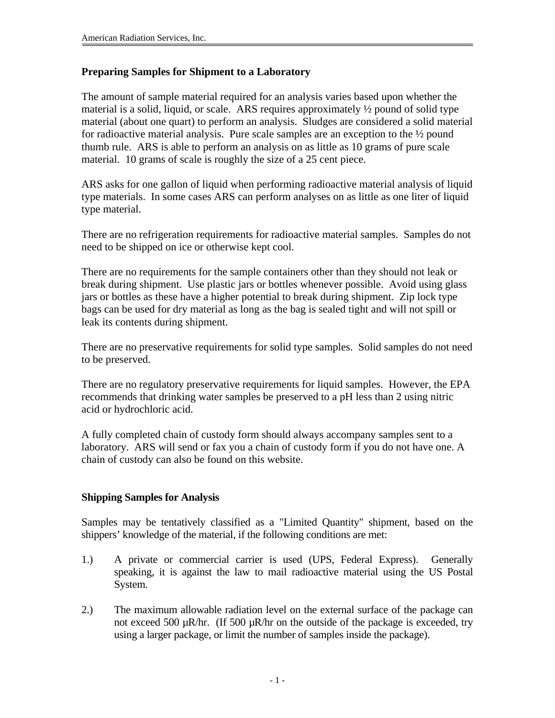## **Preparing Samples for Shipment to a Laboratory**

The amount of sample material required for an analysis varies based upon whether the material is a solid, liquid, or scale. ARS requires approximately ½ pound of solid type material (about one quart) to perform an analysis. Sludges are considered a solid material for radioactive material analysis. Pure scale samples are an exception to the ½ pound thumb rule. ARS is able to perform an analysis on as little as 10 grams of pure scale material. 10 grams of scale is roughly the size of a 25 cent piece.

ARS asks for one gallon of liquid when performing radioactive material analysis of liquid type materials. In some cases ARS can perform analyses on as little as one liter of liquid type material.

There are no refrigeration requirements for radioactive material samples. Samples do not need to be shipped on ice or otherwise kept cool.

There are no requirements for the sample containers other than they should not leak or break during shipment. Use plastic jars or bottles whenever possible. Avoid using glass jars or bottles as these have a higher potential to break during shipment. Zip lock type bags can be used for dry material as long as the bag is sealed tight and will not spill or leak its contents during shipment.

There are no preservative requirements for solid type samples. Solid samples do not need to be preserved.

There are no regulatory preservative requirements for liquid samples. However, the EPA recommends that drinking water samples be preserved to a pH less than 2 using nitric acid or hydrochloric acid.

A fully completed chain of custody form should always accompany samples sent to a laboratory. ARS will send or fax you a chain of custody form if you do not have one. A chain of custody can also be found on this website.

# **Shipping Samples for Analysis**

Samples may be tentatively classified as a "Limited Quantity" shipment, based on the shippers' knowledge of the material, if the following conditions are met:

- 1.) A private or commercial carrier is used (UPS, Federal Express). Generally speaking, it is against the law to mail radioactive material using the US Postal System.
- 2.) The maximum allowable radiation level on the external surface of the package can not exceed 500  $\mu$ R/hr. (If 500  $\mu$ R/hr on the outside of the package is exceeded, try using a larger package, or limit the number of samples inside the package).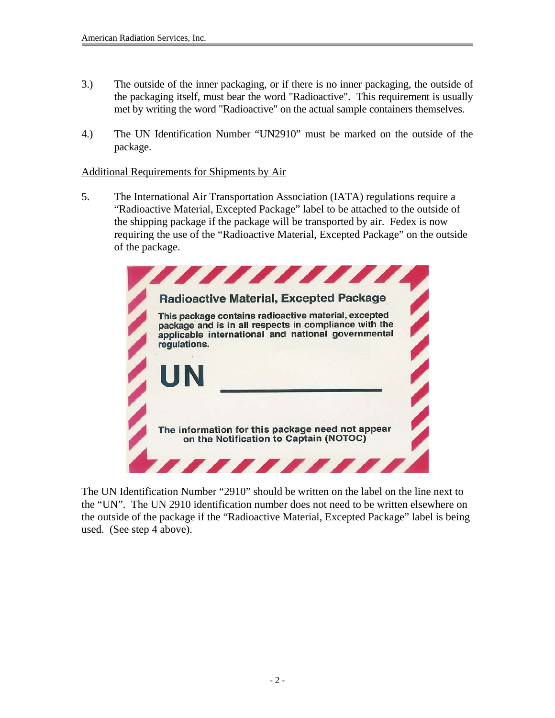- 3.) The outside of the inner packaging, or if there is no inner packaging, the outside of the packaging itself, must bear the word "Radioactive". This requirement is usually met by writing the word "Radioactive" on the actual sample containers themselves.
- 4.) The UN Identification Number "UN2910" must be marked on the outside of the package.

### Additional Requirements for Shipments by Air

5. The International Air Transportation Association (IATA) regulations require a "Radioactive Material, Excepted Package" label to be attached to the outside of the shipping package if the package will be transported by air. Fedex is now requiring the use of the "Radioactive Material, Excepted Package" on the outside of the package.



The UN Identification Number "2910" should be written on the label on the line next to the "UN". The UN 2910 identification number does not need to be written elsewhere on the outside of the package if the "Radioactive Material, Excepted Package" label is being used. (See step 4 above).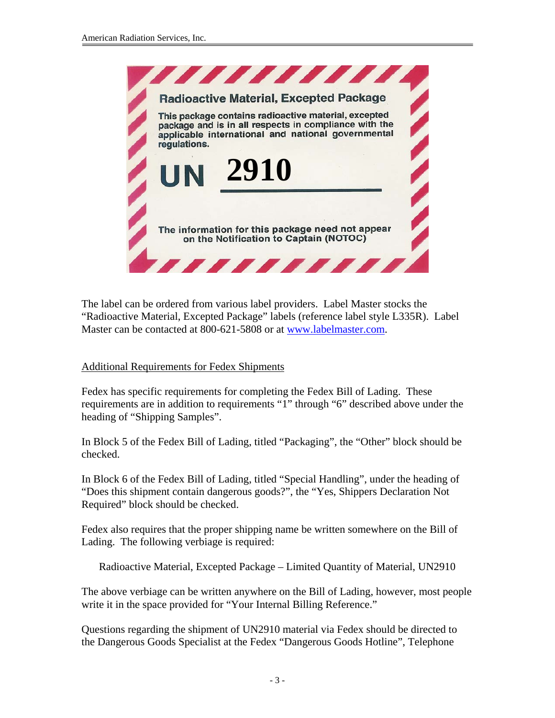

The label can be ordered from various label providers. Label Master stocks the "Radioactive Material, Excepted Package" labels (reference label style L335R). Label Master can be contacted at 800-621-5808 or at www.labelmaster.com.

### Additional Requirements for Fedex Shipments

Fedex has specific requirements for completing the Fedex Bill of Lading. These requirements are in addition to requirements "1" through "6" described above under the heading of "Shipping Samples".

In Block 5 of the Fedex Bill of Lading, titled "Packaging", the "Other" block should be checked.

In Block 6 of the Fedex Bill of Lading, titled "Special Handling", under the heading of "Does this shipment contain dangerous goods?", the "Yes, Shippers Declaration Not Required" block should be checked.

Fedex also requires that the proper shipping name be written somewhere on the Bill of Lading. The following verbiage is required:

Radioactive Material, Excepted Package – Limited Quantity of Material, UN2910

The above verbiage can be written anywhere on the Bill of Lading, however, most people write it in the space provided for "Your Internal Billing Reference."

Questions regarding the shipment of UN2910 material via Fedex should be directed to the Dangerous Goods Specialist at the Fedex "Dangerous Goods Hotline", Telephone